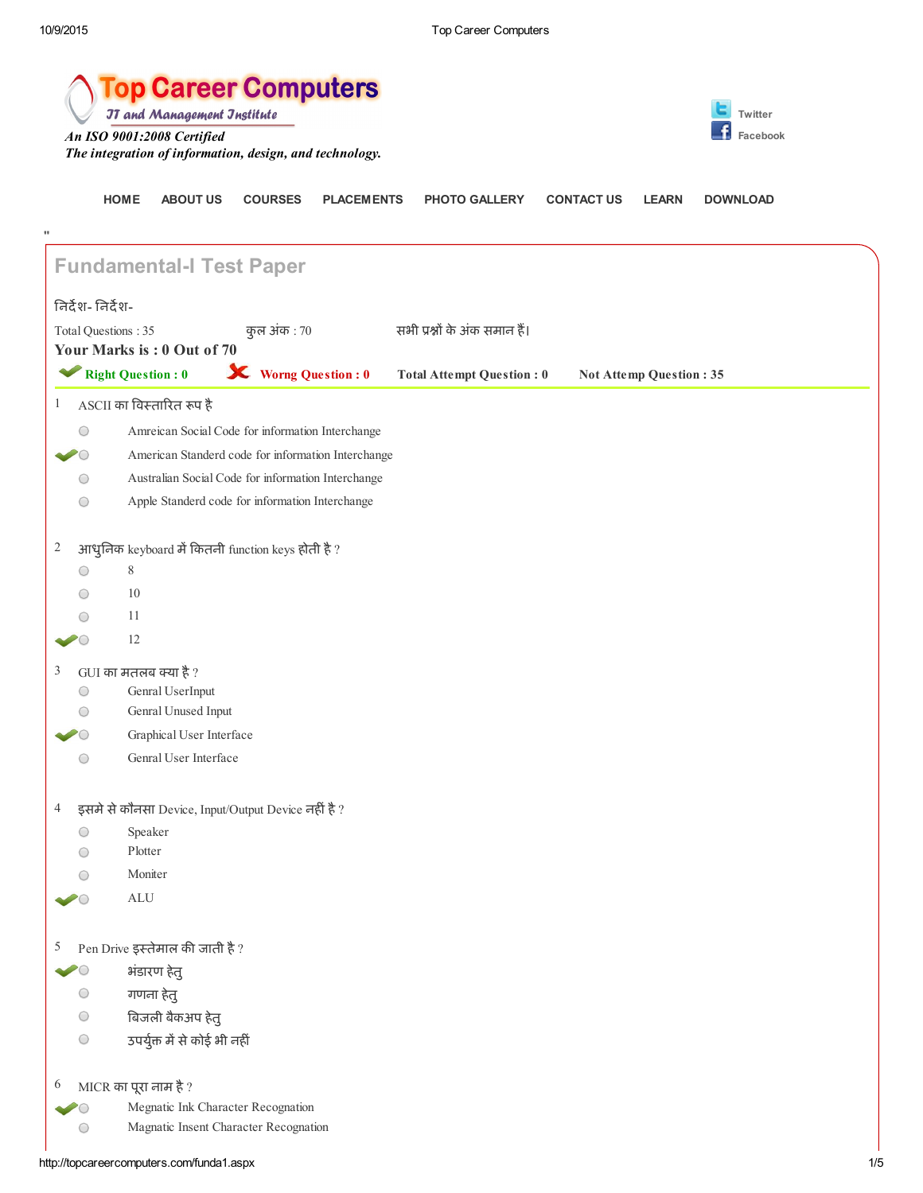|                     | <b>op Career Computers</b><br><b>JT and Management Jnstitute</b><br>Twitter<br>An ISO 9001:2008 Certified<br>Facebook<br>The integration of information, design, and technology. |                                                     |                                       |                   |                                  |                   |                         |                 |
|---------------------|----------------------------------------------------------------------------------------------------------------------------------------------------------------------------------|-----------------------------------------------------|---------------------------------------|-------------------|----------------------------------|-------------------|-------------------------|-----------------|
| 11                  | <b>HOME</b>                                                                                                                                                                      | <b>ABOUT US</b>                                     | <b>COURSES</b>                        | <b>PLACEMENTS</b> | <b>PHOTO GALLERY</b>             | <b>CONTACT US</b> | <b>LEARN</b>            | <b>DOWNLOAD</b> |
|                     |                                                                                                                                                                                  | <b>Fundamental-I Test Paper</b>                     |                                       |                   |                                  |                   |                         |                 |
| निर्देश- निर्देश-   |                                                                                                                                                                                  |                                                     |                                       |                   |                                  |                   |                         |                 |
| Total Questions: 35 |                                                                                                                                                                                  |                                                     | कुल अंक : 70                          |                   | सभी प्रश्नों के अंक समान हैं।    |                   |                         |                 |
|                     |                                                                                                                                                                                  | Your Marks is: 0 Out of 70                          |                                       |                   |                                  |                   |                         |                 |
|                     | <b>Right Question: 0</b>                                                                                                                                                         |                                                     | <b>X</b> Worng Question : 0           |                   | <b>Total Attempt Question: 0</b> |                   | Not Attemp Question: 35 |                 |
| $\mathbf{1}$        |                                                                                                                                                                                  | ASCII का विस्तारित रूप है                           |                                       |                   |                                  |                   |                         |                 |
| O                   |                                                                                                                                                                                  | Amreican Social Code for information Interchange    |                                       |                   |                                  |                   |                         |                 |
|                     |                                                                                                                                                                                  | American Standerd code for information Interchange  |                                       |                   |                                  |                   |                         |                 |
| O                   |                                                                                                                                                                                  | Australian Social Code for information Interchange  |                                       |                   |                                  |                   |                         |                 |
| О                   |                                                                                                                                                                                  | Apple Standerd code for information Interchange     |                                       |                   |                                  |                   |                         |                 |
| $\overline{c}$      |                                                                                                                                                                                  | आधुनिक keyboard में कितनी function keys होती है ?   |                                       |                   |                                  |                   |                         |                 |
| O                   | 8                                                                                                                                                                                |                                                     |                                       |                   |                                  |                   |                         |                 |
|                     | 10                                                                                                                                                                               |                                                     |                                       |                   |                                  |                   |                         |                 |
|                     | 11                                                                                                                                                                               |                                                     |                                       |                   |                                  |                   |                         |                 |
|                     | 12                                                                                                                                                                               |                                                     |                                       |                   |                                  |                   |                         |                 |
| 3                   | GUI का मतलब क्या है?                                                                                                                                                             |                                                     |                                       |                   |                                  |                   |                         |                 |
| O                   |                                                                                                                                                                                  | Genral UserInput                                    |                                       |                   |                                  |                   |                         |                 |
| O                   |                                                                                                                                                                                  | Genral Unused Input                                 |                                       |                   |                                  |                   |                         |                 |
|                     |                                                                                                                                                                                  | Graphical User Interface<br>Genral User Interface   |                                       |                   |                                  |                   |                         |                 |
| $\bigcirc$          |                                                                                                                                                                                  |                                                     |                                       |                   |                                  |                   |                         |                 |
| $\overline{4}$      |                                                                                                                                                                                  | इसमे से कौनसा Device, Input/Output Device नहीं है ? |                                       |                   |                                  |                   |                         |                 |
| O                   | Speaker                                                                                                                                                                          |                                                     |                                       |                   |                                  |                   |                         |                 |
| $\bigcirc$          | Plotter                                                                                                                                                                          |                                                     |                                       |                   |                                  |                   |                         |                 |
| $\bigcirc$          | Moniter                                                                                                                                                                          |                                                     |                                       |                   |                                  |                   |                         |                 |
|                     | $\mbox{ALU}$                                                                                                                                                                     |                                                     |                                       |                   |                                  |                   |                         |                 |
| 5                   |                                                                                                                                                                                  | Pen Drive इस्तेमाल की जाती है ?                     |                                       |                   |                                  |                   |                         |                 |
|                     |                                                                                                                                                                                  | भंडारण हेतु                                         |                                       |                   |                                  |                   |                         |                 |
| O                   |                                                                                                                                                                                  | गणना हेतु                                           |                                       |                   |                                  |                   |                         |                 |
| $\bigcirc$          |                                                                                                                                                                                  | बिजली बैकअप हेतु                                    |                                       |                   |                                  |                   |                         |                 |
| $\bigcirc$          |                                                                                                                                                                                  | उपर्युक्त में से कोई भी नहीं                        |                                       |                   |                                  |                   |                         |                 |
| 6                   | MICR का पूरा नाम है ?                                                                                                                                                            |                                                     |                                       |                   |                                  |                   |                         |                 |
|                     |                                                                                                                                                                                  | Megnatic Ink Character Recognation                  |                                       |                   |                                  |                   |                         |                 |
| $\bigcirc$          |                                                                                                                                                                                  |                                                     | Magnatic Insent Character Recognation |                   |                                  |                   |                         |                 |

http://topcareercomputers.com/funda1.aspx 1/5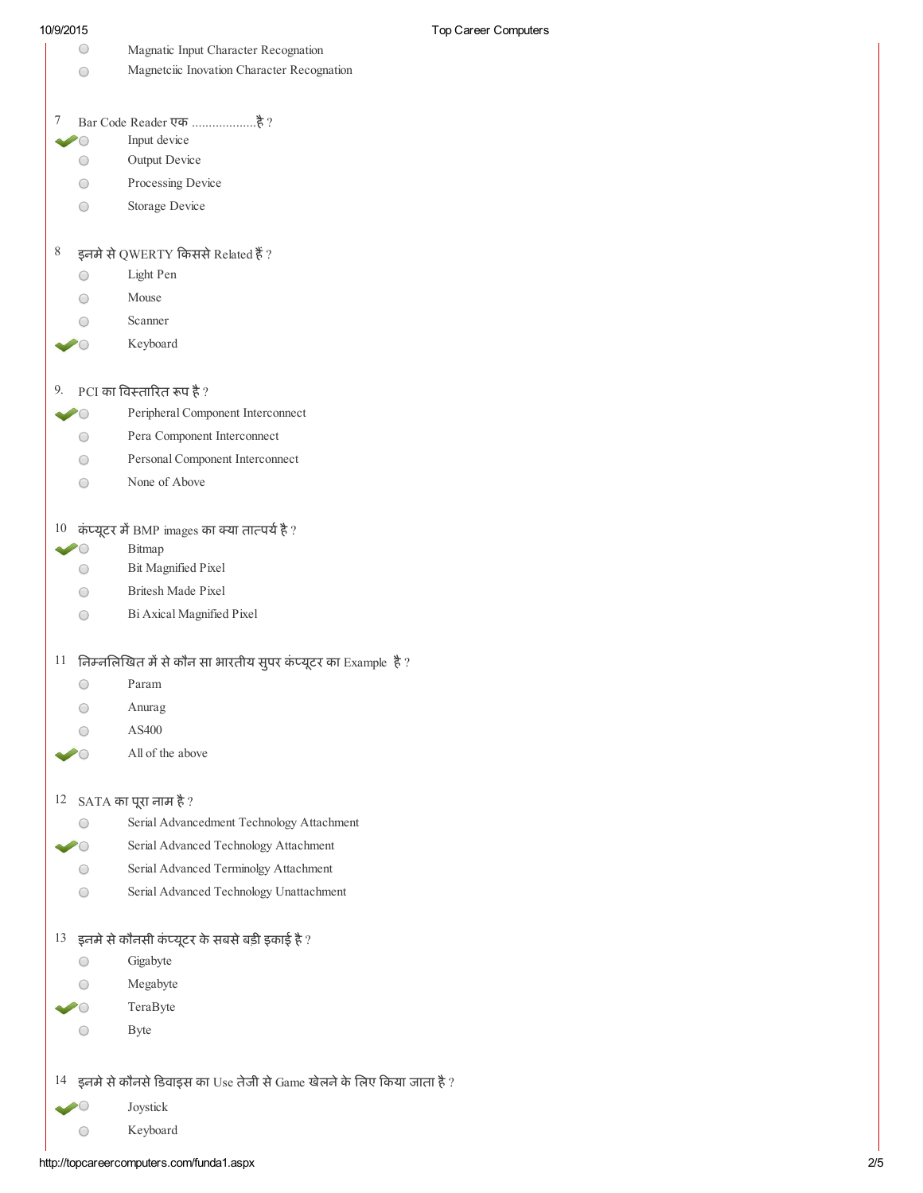| 10/9/2015                    | Top C                                                                |
|------------------------------|----------------------------------------------------------------------|
| 0                            | Magnatic Input Character Recognation                                 |
| $\scriptstyle\big(\;\;\big)$ | Magnetciic Inovation Character Recognation                           |
| 7                            |                                                                      |
| $\bigcirc$                   | Input device                                                         |
| $\bigcirc$                   | Output Device                                                        |
| O                            | Processing Device                                                    |
| $\bigcirc$                   | Storage Device                                                       |
| 8                            | इनमे से QWERTY किससे Related हैं ?                                   |
| ◯                            | Light Pen                                                            |
|                              | Mouse                                                                |
|                              | Scanner                                                              |
|                              | Keyboard                                                             |
| 9.                           | PCI का विस्तारित रूप है?                                             |
|                              | Peripheral Component Interconnect                                    |
| O                            | Pera Component Interconnect                                          |
|                              | Personal Component Interconnect                                      |
|                              | None of Above                                                        |
|                              | $10$ कंप्यूटर में BMP images का क्या तात्पर्य है ?                   |
|                              | Bitmap                                                               |
| $\bigcirc$                   | Bit Magnified Pixel                                                  |
|                              | <b>Britesh Made Pixel</b>                                            |
| ◯                            | Bi Axical Magnified Pixel                                            |
| 11                           | निम्नलिखित में से कौन सा भारतीय सुपर कंप्यूटर का Example है?         |
|                              | Param                                                                |
|                              | Anurag                                                               |
|                              | AS400                                                                |
|                              | All of the above                                                     |
| 12                           | SATA का पूरा नाम है ?                                                |
|                              | Serial Advancedment Technology Attachment                            |
|                              | Serial Advanced Technology Attachment                                |
|                              | Serial Advanced Terminolgy Attachment                                |
|                              | Serial Advanced Technology Unattachment                              |
| 13                           | इनमे से कौनसी कंप्यूटर के सबसे बड़ी इकाई है ?                        |
|                              | Gigabyte                                                             |
|                              | Megabyte                                                             |
|                              | TeraByte                                                             |
|                              | <b>Byte</b>                                                          |
|                              |                                                                      |
| 14                           | इनमे से कौनसे डिवाइस का Use तेजी से Game खेलने के लिए किया जाता है ? |
|                              | Joystick                                                             |
|                              | Keyboard                                                             |

http://topcareercomputers.com/funda1.aspx 2/5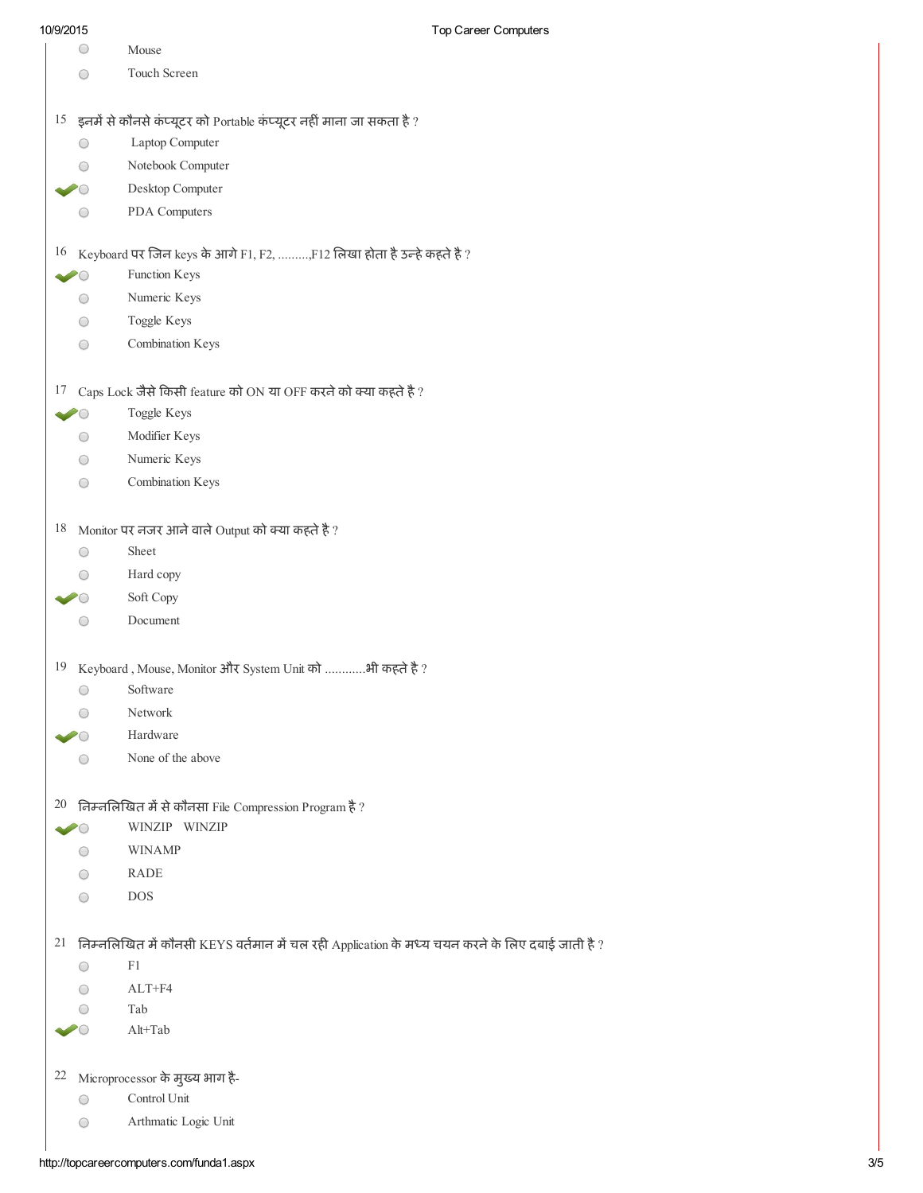|    |                                             | i up oaroor oorripuloro                                                                              |
|----|---------------------------------------------|------------------------------------------------------------------------------------------------------|
|    | O                                           | Mouse                                                                                                |
|    | ○                                           | Touch Screen                                                                                         |
|    |                                             |                                                                                                      |
|    |                                             | $15$ इनमें से कौनसे कंप्यूटर को Portable कंप्यूटर नहीं माना जा सकता है ?                             |
|    | O                                           | Laptop Computer                                                                                      |
|    |                                             | Notebook Computer                                                                                    |
|    |                                             | Desktop Computer                                                                                     |
|    |                                             | PDA Computers                                                                                        |
|    | $( \ )$                                     |                                                                                                      |
|    |                                             | $16$ Keyboard पर जिन keys के आगे F1, F2, , F12 लिखा होता है उन्हे कहते है ?                          |
|    |                                             | Function Keys                                                                                        |
|    | $\bigcirc$                                  | Numeric Keys                                                                                         |
|    | $\bigcirc$                                  | Toggle Keys                                                                                          |
|    | O                                           | Combination Keys                                                                                     |
|    |                                             |                                                                                                      |
|    |                                             |                                                                                                      |
|    |                                             | $17$ Caps Lock जैसे किसी feature को ON या OFF करने को क्या कहते है ?                                 |
|    |                                             | Toggle Keys                                                                                          |
|    | $\bigcirc$                                  | Modifier Keys                                                                                        |
|    | $\left(\begin{array}{c} \end{array}\right)$ | Numeric Keys                                                                                         |
|    | O                                           | Combination Keys                                                                                     |
|    |                                             |                                                                                                      |
| 18 |                                             | Monitor पर नजर आने वाले Output को क्या कहते है ?                                                     |
|    | O                                           | Sheet                                                                                                |
|    |                                             | Hard copy                                                                                            |
|    |                                             | Soft Copy                                                                                            |
|    |                                             | Document                                                                                             |
|    |                                             |                                                                                                      |
| 19 |                                             | Keyboard, Mouse, Monitor और System Unit को भी कहते है ?                                              |
|    | O                                           | Software                                                                                             |
|    |                                             | Network                                                                                              |
|    |                                             | Hardware                                                                                             |
|    |                                             | None of the above                                                                                    |
|    |                                             |                                                                                                      |
|    |                                             | 20 निम्नलिखित में से कौनसा File Compression Program है ?                                             |
|    |                                             | WINZIP WINZIP                                                                                        |
|    |                                             | <b>WINAMP</b>                                                                                        |
|    |                                             | <b>RADE</b>                                                                                          |
|    | ( )                                         | <b>DOS</b>                                                                                           |
|    |                                             |                                                                                                      |
|    |                                             | $21$ निम्नलिखित में कौनसी KEYS वर्तमान में चल रही Application के मध्य चयन करने के लिए दबाई जाती है ? |
|    | ◯                                           | F1                                                                                                   |
|    |                                             | $ALT + F4$                                                                                           |
|    |                                             | Tab                                                                                                  |
|    |                                             | Alt+Tab                                                                                              |
|    |                                             |                                                                                                      |
|    |                                             | <sup>22</sup> Microprocessor के मुख्य भाग है-                                                        |
|    | O                                           | Control Unit                                                                                         |
|    | $\bigcirc$                                  | Arthmatic Logic Unit                                                                                 |
|    |                                             |                                                                                                      |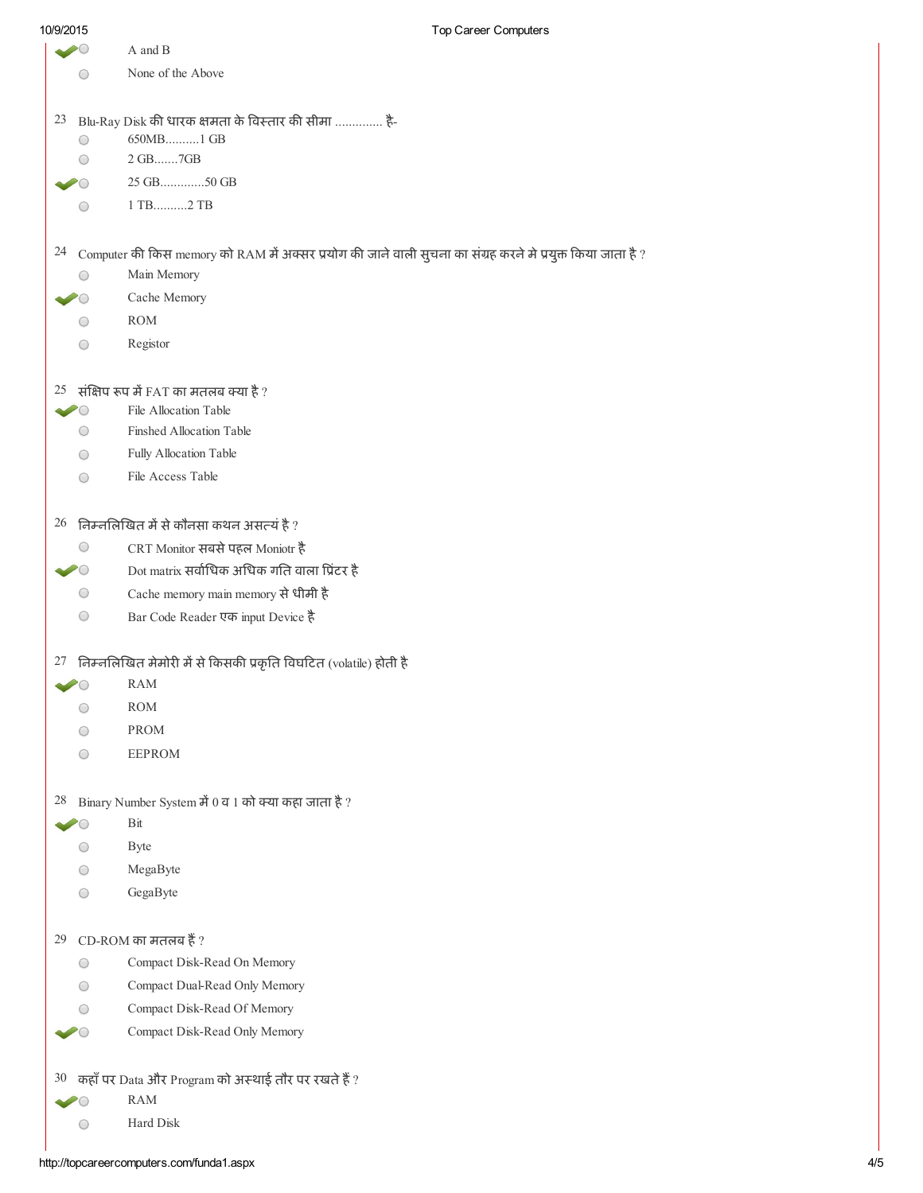| 10/9/2015                 |                        | Top Career Computers                                                                                           |
|---------------------------|------------------------|----------------------------------------------------------------------------------------------------------------|
|                           |                        | A and B                                                                                                        |
|                           | 0                      | None of the Above                                                                                              |
|                           |                        |                                                                                                                |
| 23                        |                        | Blu-Ray Disk की धारक क्षमता के विस्तार की सीमा  है-                                                            |
|                           | O                      | 650MB1 GB                                                                                                      |
|                           | ○                      | 2 GB7GB                                                                                                        |
|                           |                        | 25 GB50 GB                                                                                                     |
|                           | 0                      | 1 TB2 TB                                                                                                       |
|                           |                        |                                                                                                                |
|                           |                        | 24 Computer की किस memory को RAM में अक्सर प्रयोग की जाने वाली सुचना का संग्रह करने मे प्रयुक्त किया जाता है ? |
|                           | O                      | Main Memory                                                                                                    |
|                           |                        | Cache Memory                                                                                                   |
|                           | 0                      | <b>ROM</b>                                                                                                     |
|                           | O                      | Registor                                                                                                       |
|                           |                        |                                                                                                                |
|                           |                        | $25$ संक्षिप रूप में FAT का मतलब क्या है ?                                                                     |
| $\sim$ $\circ$            |                        | File Allocation Table                                                                                          |
|                           | O                      | <b>Finshed Allocation Table</b>                                                                                |
|                           | O                      | Fully Allocation Table                                                                                         |
|                           | O                      | File Access Table                                                                                              |
|                           |                        | $26$ निम्नलिखित में से कौनसा कथन असत्यं है ?                                                                   |
|                           | O                      | CRT Monitor सबसे पहल Moniotr है                                                                                |
| $\blacktriangleright$ ( ) |                        | Dot matrix सर्वाधिक अधिक गति वाला प्रिंटर है                                                                   |
|                           | O                      | Cache memory main memory से धीमी है                                                                            |
|                           | $\bigcirc$             | Bar Code Reader एक input Device है                                                                             |
|                           |                        |                                                                                                                |
|                           |                        | 27 निम्नलिखित मेमोरी में से किसकी प्रकृति विघटित (volatile) होती है                                            |
|                           |                        | <b>RAM</b>                                                                                                     |
|                           | O                      | <b>ROM</b>                                                                                                     |
|                           | $\scriptstyle\bigcirc$ | <b>PROM</b>                                                                                                    |
|                           | O                      | <b>EEPROM</b>                                                                                                  |
|                           |                        |                                                                                                                |
| 28                        |                        | Binary Number System में $0$ व 1 को क्या कहा जाता है ?                                                         |
|                           |                        | Bit                                                                                                            |
|                           | ○                      | <b>Byte</b>                                                                                                    |
|                           | ◯                      | MegaByte                                                                                                       |
|                           | $\bigcirc$             | GegaByte                                                                                                       |
|                           |                        |                                                                                                                |
|                           |                        | 29 CD-ROM का मतलब हैं ?                                                                                        |
|                           | $\bigcirc$             | Compact Disk-Read On Memory                                                                                    |
|                           | ∩                      | Compact Dual-Read Only Memory                                                                                  |
|                           | $\bigcirc$             | Compact Disk-Read Of Memory                                                                                    |
|                           |                        | Compact Disk-Read Only Memory                                                                                  |
|                           |                        | 30 कहाँ पर Data और Program को अस्थाई तौर पर रखते हैं ?                                                         |
|                           |                        | <b>RAM</b>                                                                                                     |
|                           | ○                      | Hard Disk                                                                                                      |
|                           |                        |                                                                                                                |